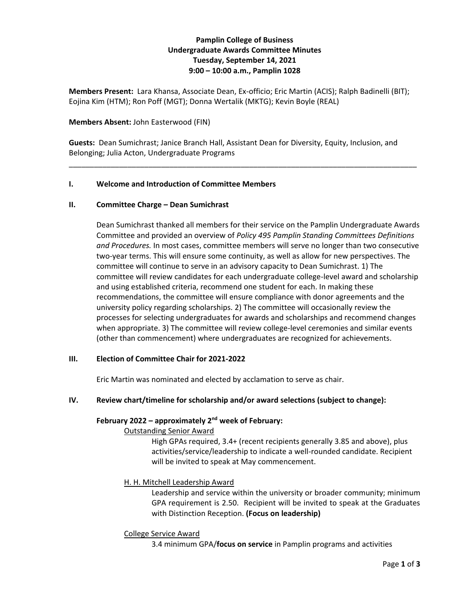# **Pamplin College of Business Undergraduate Awards Committee Minutes Tuesday, September 14, 2021 9:00 – 10:00 a.m., Pamplin 1028**

**Members Present:** Lara Khansa, Associate Dean, Ex-officio; Eric Martin (ACIS); Ralph Badinelli (BIT); Eojina Kim (HTM); Ron Poff (MGT); Donna Wertalik (MKTG); Kevin Boyle (REAL)

#### **Members Absent:** John Easterwood (FIN)

**Guests:** Dean Sumichrast; Janice Branch Hall, Assistant Dean for Diversity, Equity, Inclusion, and Belonging; Julia Acton, Undergraduate Programs

\_\_\_\_\_\_\_\_\_\_\_\_\_\_\_\_\_\_\_\_\_\_\_\_\_\_\_\_\_\_\_\_\_\_\_\_\_\_\_\_\_\_\_\_\_\_\_\_\_\_\_\_\_\_\_\_\_\_\_\_\_\_\_\_\_\_\_\_\_\_\_\_\_\_\_\_\_\_\_\_\_\_\_

#### **I. Welcome and Introduction of Committee Members**

#### **II. Committee Charge – Dean Sumichrast**

Dean Sumichrast thanked all members for their service on the Pamplin Undergraduate Awards Committee and provided an overview of *Policy 495 Pamplin Standing Committees Definitions and Procedures.* In most cases, committee members will serve no longer than two consecutive two-year terms. This will ensure some continuity, as well as allow for new perspectives. The committee will continue to serve in an advisory capacity to Dean Sumichrast. 1) The committee will review candidates for each undergraduate college-level award and scholarship and using established criteria, recommend one student for each. In making these recommendations, the committee will ensure compliance with donor agreements and the university policy regarding scholarships. 2) The committee will occasionally review the processes for selecting undergraduates for awards and scholarships and recommend changes when appropriate. 3) The committee will review college-level ceremonies and similar events (other than commencement) where undergraduates are recognized for achievements.

### **III. Election of Committee Chair for 2021-2022**

Eric Martin was nominated and elected by acclamation to serve as chair.

### **IV. Review chart/timeline for scholarship and/or award selections (subject to change):**

#### **February 2022 – approximately 2nd week of February:**

#### Outstanding Senior Award

High GPAs required, 3.4+ (recent recipients generally 3.85 and above), plus activities/service/leadership to indicate a well-rounded candidate. Recipient will be invited to speak at May commencement.

### H. H. Mitchell Leadership Award

Leadership and service within the university or broader community; minimum GPA requirement is 2.50. Recipient will be invited to speak at the Graduates with Distinction Reception. **(Focus on leadership)**

### College Service Award

3.4 minimum GPA/**focus on service** in Pamplin programs and activities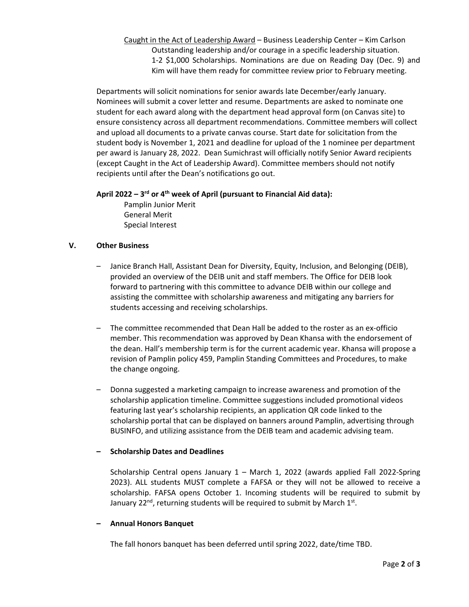Caught in the Act of Leadership Award – Business Leadership Center – Kim Carlson Outstanding leadership and/or courage in a specific leadership situation. 1-2 \$1,000 Scholarships. Nominations are due on Reading Day (Dec. 9) and Kim will have them ready for committee review prior to February meeting.

Departments will solicit nominations for senior awards late December/early January. Nominees will submit a cover letter and resume. Departments are asked to nominate one student for each award along with the department head approval form (on Canvas site) to ensure consistency across all department recommendations. Committee members will collect and upload all documents to a private canvas course. Start date for solicitation from the student body is November 1, 2021 and deadline for upload of the 1 nominee per department per award is January 28, 2022. Dean Sumichrast will officially notify Senior Award recipients (except Caught in the Act of Leadership Award). Committee members should not notify recipients until after the Dean's notifications go out.

# **April 2022 – 3 rd or 4th week of April (pursuant to Financial Aid data):**

Pamplin Junior Merit General Merit Special Interest

# **V. Other Business**

- Janice Branch Hall, Assistant Dean for Diversity, Equity, Inclusion, and Belonging (DEIB), provided an overview of the DEIB unit and staff members. The Office for DEIB look forward to partnering with this committee to advance DEIB within our college and assisting the committee with scholarship awareness and mitigating any barriers for students accessing and receiving scholarships.
- The committee recommended that Dean Hall be added to the roster as an ex-officio member. This recommendation was approved by Dean Khansa with the endorsement of the dean. Hall's membership term is for the current academic year. Khansa will propose a revision of Pamplin policy 459, Pamplin Standing Committees and Procedures, to make the change ongoing.
- Donna suggested a marketing campaign to increase awareness and promotion of the scholarship application timeline. Committee suggestions included promotional videos featuring last year's scholarship recipients, an application QR code linked to the scholarship portal that can be displayed on banners around Pamplin, advertising through BUSINFO, and utilizing assistance from the DEIB team and academic advising team.

### **– Scholarship Dates and Deadlines**

Scholarship Central opens January 1 – March 1, 2022 (awards applied Fall 2022-Spring 2023). ALL students MUST complete a FAFSA or they will not be allowed to receive a scholarship. FAFSA opens October 1. Incoming students will be required to submit by January 22<sup>nd</sup>, returning students will be required to submit by March  $1<sup>st</sup>$ .

### **– Annual Honors Banquet**

The fall honors banquet has been deferred until spring 2022, date/time TBD.